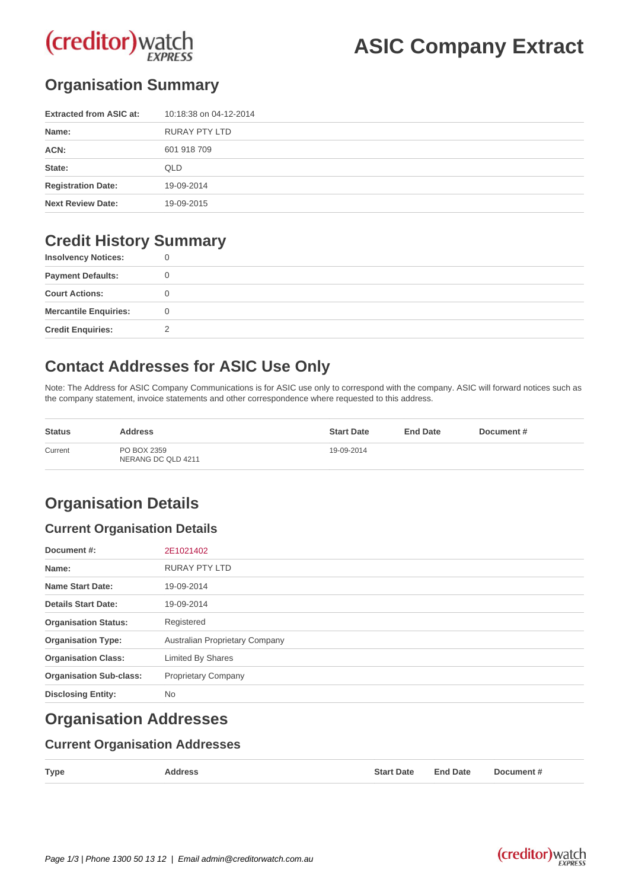

**ASIC Company Extract**

## **Organisation Summary**

| <b>Extracted from ASIC at:</b> | 10:18:38 on 04-12-2014 |
|--------------------------------|------------------------|
| Name:                          | RURAY PTY LTD          |
| ACN:                           | 601 918 709            |
| State:                         | QLD                    |
| <b>Registration Date:</b>      | 19-09-2014             |
| <b>Next Review Date:</b>       | 19-09-2015             |

## **Credit History Summary**

| <b>Insolvency Notices:</b>   |  |
|------------------------------|--|
| <b>Payment Defaults:</b>     |  |
| <b>Court Actions:</b>        |  |
| <b>Mercantile Enquiries:</b> |  |
| <b>Credit Enquiries:</b>     |  |

# **Contact Addresses for ASIC Use Only**

Note: The Address for ASIC Company Communications is for ASIC use only to correspond with the company. ASIC will forward notices such as the company statement, invoice statements and other correspondence where requested to this address.

| <b>Status</b> | <b>Address</b>                    | <b>Start Date</b> | <b>End Date</b> | Document# |
|---------------|-----------------------------------|-------------------|-----------------|-----------|
| Current       | PO BOX 2359<br>NERANG DC QLD 4211 | 19-09-2014        |                 |           |

# **Organisation Details**

#### **Current Organisation Details**

| Document #:                    | 2E1021402                      |
|--------------------------------|--------------------------------|
| Name:                          | <b>RURAY PTY LTD</b>           |
| <b>Name Start Date:</b>        | 19-09-2014                     |
| <b>Details Start Date:</b>     | 19-09-2014                     |
| <b>Organisation Status:</b>    | Registered                     |
| <b>Organisation Type:</b>      | Australian Proprietary Company |
| <b>Organisation Class:</b>     | <b>Limited By Shares</b>       |
| <b>Organisation Sub-class:</b> | <b>Proprietary Company</b>     |
| <b>Disclosing Entity:</b>      | <b>No</b>                      |

## **Organisation Addresses**

#### **Current Organisation Addresses**

| <b>Type</b> | <b>Address</b> | <b>Start Date</b> | <b>End Date</b> | Document # |
|-------------|----------------|-------------------|-----------------|------------|
|             |                |                   |                 |            |



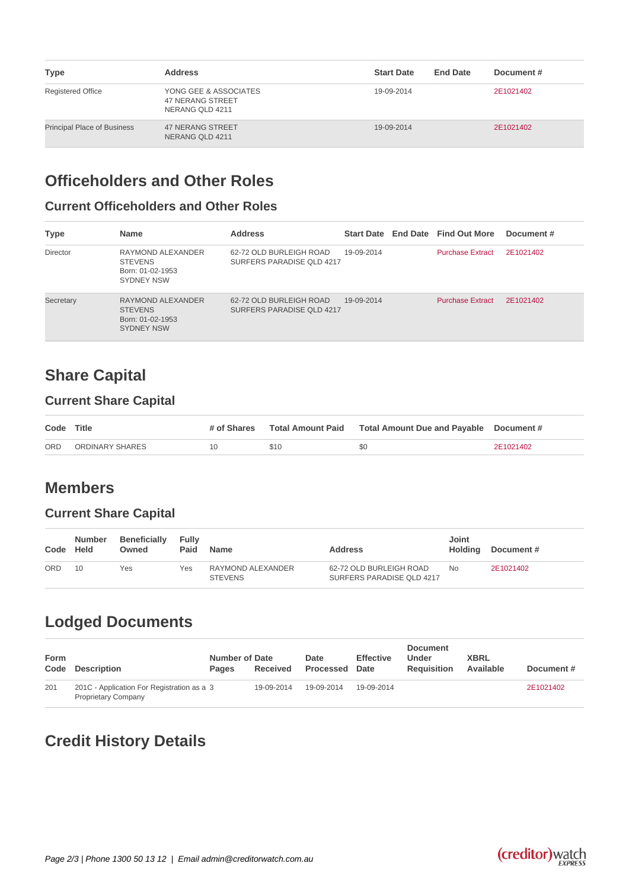| <b>Type</b>                        | <b>Address</b>                                                      | <b>Start Date</b> | <b>End Date</b> | Document# |
|------------------------------------|---------------------------------------------------------------------|-------------------|-----------------|-----------|
| <b>Registered Office</b>           | YONG GEE & ASSOCIATES<br><b>47 NERANG STREET</b><br>NERANG QLD 4211 | 19-09-2014        |                 | 2E1021402 |
| <b>Principal Place of Business</b> | <b>47 NERANG STREET</b><br>NERANG QLD 4211                          | 19-09-2014        |                 | 2E1021402 |

## **Officeholders and Other Roles**

### **Current Officeholders and Other Roles**

| <b>Type</b> | <b>Name</b>                                                                  | <b>Address</b>                                       |            | Start Date End Date Find Out More | Document # |
|-------------|------------------------------------------------------------------------------|------------------------------------------------------|------------|-----------------------------------|------------|
| Director    | RAYMOND ALEXANDER<br><b>STEVENS</b><br>Born: 01-02-1953<br><b>SYDNEY NSW</b> | 62-72 OLD BURLEIGH ROAD<br>SURFERS PARADISE OLD 4217 | 19-09-2014 | <b>Purchase Extract</b>           | 2E1021402  |
| Secretary   | RAYMOND ALEXANDER<br><b>STEVENS</b><br>Born: 01-02-1953<br><b>SYDNEY NSW</b> | 62-72 OLD BURLEIGH ROAD<br>SURFERS PARADISE OLD 4217 | 19-09-2014 | <b>Purchase Extract</b>           | 2E1021402  |

# **Share Capital**

### **Current Share Capital**

| Code Title |                 | # of Shares |      |     |           |
|------------|-----------------|-------------|------|-----|-----------|
| ORD        | ORDINARY SHARES |             | \$10 | \$0 | 2E1021402 |

## **Members**

#### **Current Share Capital**

| Code | <b>Number</b><br><b>Held</b> | <b>Beneficially</b><br>Owned | Fully<br>Paid | <b>Name</b>                         | <b>Address</b>                                       | Joint<br>Holding | Document # |
|------|------------------------------|------------------------------|---------------|-------------------------------------|------------------------------------------------------|------------------|------------|
| ORD  |                              | Yes                          | Yes           | RAYMOND ALEXANDER<br><b>STEVENS</b> | 62-72 OLD BURLEIGH ROAD<br>SURFERS PARADISE QLD 4217 | No               | 2E1021402  |

# **Lodged Documents**

| Form<br>Code | Description                                                              | <b>Number of Date</b><br><b>Pages</b> | Received   | Date<br><b>Processed</b> | <b>Effective</b><br>Date | <b>Document</b><br>Under<br><b>Requisition</b> | <b>XBRL</b><br>Available | Document# |
|--------------|--------------------------------------------------------------------------|---------------------------------------|------------|--------------------------|--------------------------|------------------------------------------------|--------------------------|-----------|
| 201          | 201C - Application For Registration as a 3<br><b>Proprietary Company</b> |                                       | 19-09-2014 | 19-09-2014               | 19-09-2014               |                                                |                          | 2E1021402 |

# **Credit History Details**